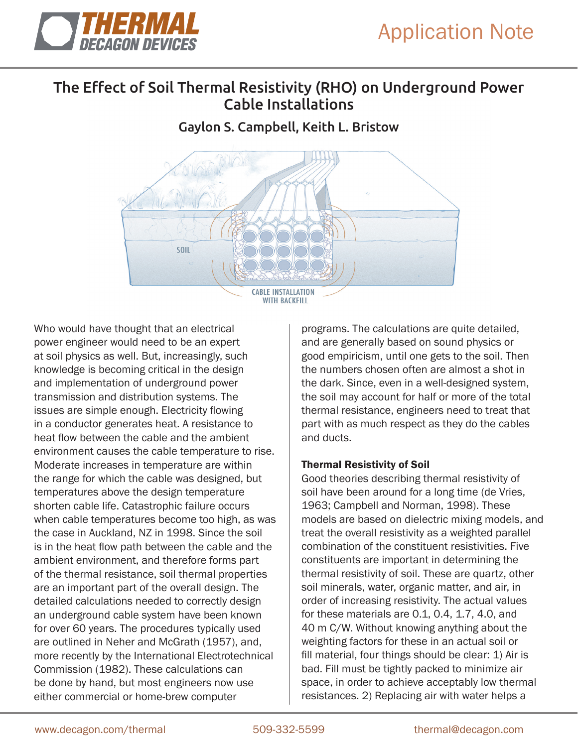

## The Effect of Soil Thermal Resistivity (RHO) on Underground Power Cable Installations

### Gaylon S. Campbell, Keith L. Bristow



Who would have thought that an electrical power engineer would need to be an expert at soil physics as well. But, increasingly, such knowledge is becoming critical in the design and implementation of underground power transmission and distribution systems. The issues are simple enough. Electricity flowing in a conductor generates heat. A resistance to heat flow between the cable and the ambient environment causes the cable temperature to rise. Moderate increases in temperature are within the range for which the cable was designed, but temperatures above the design temperature shorten cable life. Catastrophic failure occurs when cable temperatures become too high, as was the case in Auckland, NZ in 1998. Since the soil is in the heat flow path between the cable and the ambient environment, and therefore forms part of the thermal resistance, soil thermal properties are an important part of the overall design. The detailed calculations needed to correctly design an underground cable system have been known for over 60 years. The procedures typically used are outlined in Neher and McGrath (1957), and, more recently by the International Electrotechnical Commission (1982). These calculations can be done by hand, but most engineers now use either commercial or home-brew computer

programs. The calculations are quite detailed, and are generally based on sound physics or good empiricism, until one gets to the soil. Then the numbers chosen often are almost a shot in the dark. Since, even in a well-designed system, the soil may account for half or more of the total thermal resistance, engineers need to treat that part with as much respect as they do the cables and ducts.

#### Thermal Resistivity of Soil

Good theories describing thermal resistivity of soil have been around for a long time (de Vries, 1963; Campbell and Norman, 1998). These models are based on dielectric mixing models, and treat the overall resistivity as a weighted parallel combination of the constituent resistivities. Five constituents are important in determining the thermal resistivity of soil. These are quartz, other soil minerals, water, organic matter, and air, in order of increasing resistivity. The actual values for these materials are 0.1, 0.4, 1.7, 4.0, and 40 m C/W. Without knowing anything about the weighting factors for these in an actual soil or fill material, four things should be clear: 1) Air is bad. Fill must be tightly packed to minimize air space, in order to achieve acceptably low thermal resistances. 2) Replacing air with water helps a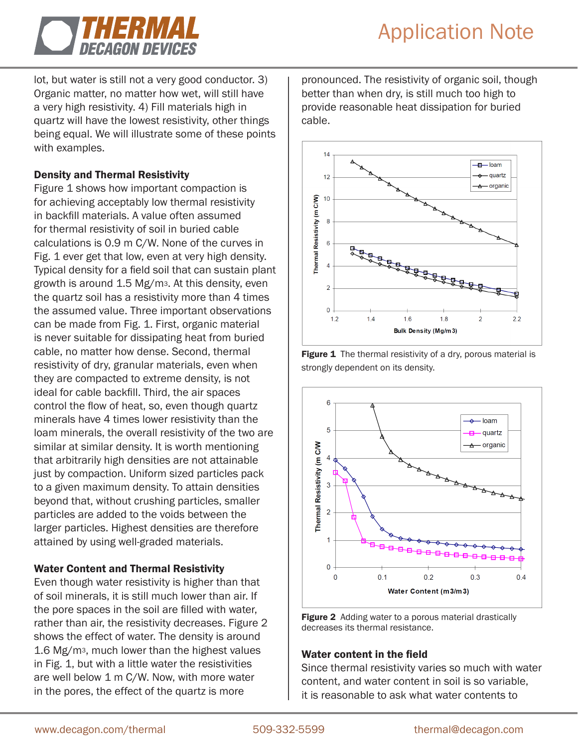

lot, but water is still not a very good conductor. 3) Organic matter, no matter how wet, will still have a very high resistivity. 4) Fill materials high in quartz will have the lowest resistivity, other things being equal. We will illustrate some of these points with examples.

#### Density and Thermal Resistivity

Figure 1 shows how important compaction is for achieving acceptably low thermal resistivity in backfill materials. A value often assumed for thermal resistivity of soil in buried cable calculations is 0.9 m C/W. None of the curves in Fig. 1 ever get that low, even at very high density. Typical density for a field soil that can sustain plant growth is around 1.5 Mg/m3. At this density, even the quartz soil has a resistivity more than 4 times the assumed value. Three important observations can be made from Fig. 1. First, organic material is never suitable for dissipating heat from buried cable, no matter how dense. Second, thermal resistivity of dry, granular materials, even when they are compacted to extreme density, is not ideal for cable backfill. Third, the air spaces control the flow of heat, so, even though quartz minerals have 4 times lower resistivity than the loam minerals, the overall resistivity of the two are similar at similar density. It is worth mentioning that arbitrarily high densities are not attainable just by compaction. Uniform sized particles pack to a given maximum density. To attain densities beyond that, without crushing particles, smaller particles are added to the voids between the larger particles. Highest densities are therefore attained by using well-graded materials.

#### Water Content and Thermal Resistivity

Even though water resistivity is higher than that of soil minerals, it is still much lower than air. If the pore spaces in the soil are filled with water, rather than air, the resistivity decreases. Figure 2 shows the effect of water. The density is around 1.6 Mg/m3, much lower than the highest values in Fig. 1, but with a little water the resistivities are well below 1 m C/W. Now, with more water in the pores, the effect of the quartz is more

pronounced. The resistivity of organic soil, though better than when dry, is still much too high to provide reasonable heat dissipation for buried cable.



Figure 1 The thermal resistivity of a dry, porous material is strongly dependent on its density.





#### Water content in the field

Since thermal resistivity varies so much with water content, and water content in soil is so variable, it is reasonable to ask what water contents to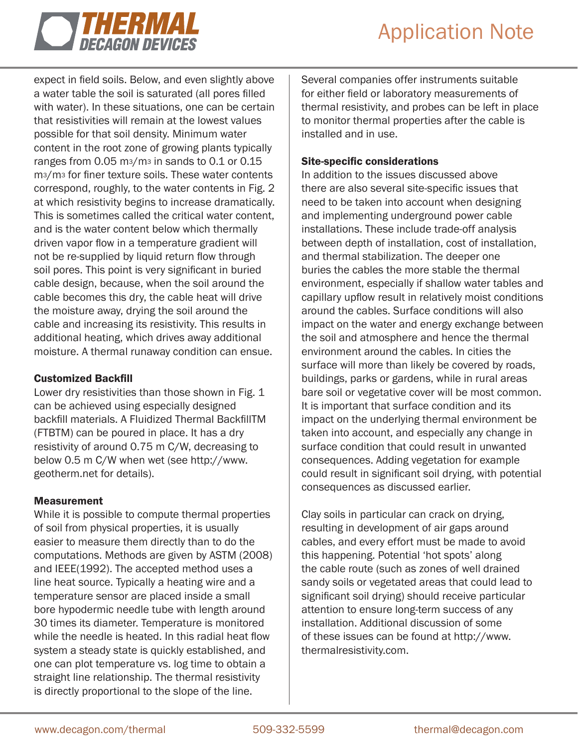

expect in field soils. Below, and even slightly above a water table the soil is saturated (all pores filled with water). In these situations, one can be certain that resistivities will remain at the lowest values possible for that soil density. Minimum water content in the root zone of growing plants typically ranges from 0.05 m3/m3 in sands to 0.1 or 0.15 m3/m3 for finer texture soils. These water contents correspond, roughly, to the water contents in Fig. 2 at which resistivity begins to increase dramatically. This is sometimes called the critical water content, and is the water content below which thermally driven vapor flow in a temperature gradient will not be re-supplied by liquid return flow through soil pores. This point is very significant in buried cable design, because, when the soil around the cable becomes this dry, the cable heat will drive the moisture away, drying the soil around the cable and increasing its resistivity. This results in additional heating, which drives away additional moisture. A thermal runaway condition can ensue.

#### Customized Backfill

Lower dry resistivities than those shown in Fig. 1 can be achieved using especially designed backfill materials. A Fluidized Thermal BackfillTM (FTBTM) can be poured in place. It has a dry resistivity of around 0.75 m C/W, decreasing to below 0.5 m C/W when wet (see http://www. geotherm.net for details).

#### Measurement

While it is possible to compute thermal properties of soil from physical properties, it is usually easier to measure them directly than to do the computations. Methods are given by ASTM (2008) and IEEE(1992). The accepted method uses a line heat source. Typically a heating wire and a temperature sensor are placed inside a small bore hypodermic needle tube with length around 30 times its diameter. Temperature is monitored while the needle is heated. In this radial heat flow system a steady state is quickly established, and one can plot temperature vs. log time to obtain a straight line relationship. The thermal resistivity is directly proportional to the slope of the line.

Several companies offer instruments suitable for either field or laboratory measurements of thermal resistivity, and probes can be left in place to monitor thermal properties after the cable is installed and in use.

#### Site-specific considerations

In addition to the issues discussed above there are also several site-specific issues that need to be taken into account when designing and implementing underground power cable installations. These include trade-off analysis between depth of installation, cost of installation, and thermal stabilization. The deeper one buries the cables the more stable the thermal environment, especially if shallow water tables and capillary upflow result in relatively moist conditions around the cables. Surface conditions will also impact on the water and energy exchange between the soil and atmosphere and hence the thermal environment around the cables. In cities the surface will more than likely be covered by roads, buildings, parks or gardens, while in rural areas bare soil or vegetative cover will be most common. It is important that surface condition and its impact on the underlying thermal environment be taken into account, and especially any change in surface condition that could result in unwanted consequences. Adding vegetation for example could result in significant soil drying, with potential consequences as discussed earlier.

Clay soils in particular can crack on drying, resulting in development of air gaps around cables, and every effort must be made to avoid this happening. Potential 'hot spots' along the cable route (such as zones of well drained sandy soils or vegetated areas that could lead to significant soil drying) should receive particular attention to ensure long-term success of any installation. Additional discussion of some of these issues can be found at http://www. thermalresistivity.com.